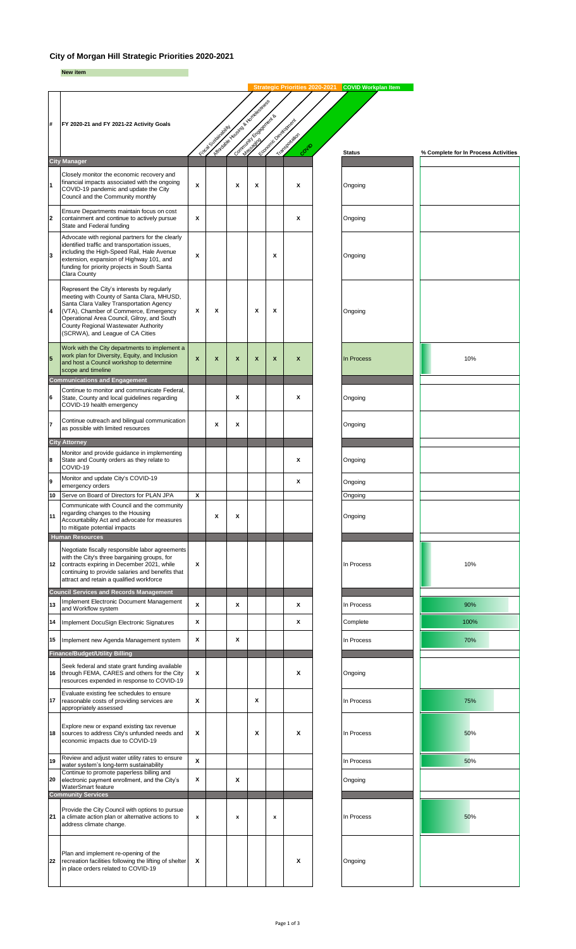## **City of Morgan Hill Strategic Priorities 2020-2021**

**New item**

|                         |                                                                                                                                                                                                                                                                                                           |        |                     |                                       |   |                            | <b>Strategic Priorities 2020-20</b> | <b>COVID Workplan Item</b> |                                      |
|-------------------------|-----------------------------------------------------------------------------------------------------------------------------------------------------------------------------------------------------------------------------------------------------------------------------------------------------------|--------|---------------------|---------------------------------------|---|----------------------------|-------------------------------------|----------------------------|--------------------------------------|
|                         |                                                                                                                                                                                                                                                                                                           |        |                     | March 24 Assembly Property and Street |   |                            |                                     |                            |                                      |
| #                       | FY 2020-21 and FY 2021-22 Activity Goals                                                                                                                                                                                                                                                                  |        |                     | And Captain Corporation               |   | Lougher December Residence |                                     |                            |                                      |
|                         |                                                                                                                                                                                                                                                                                                           |        |                     |                                       |   |                            |                                     |                            |                                      |
|                         |                                                                                                                                                                                                                                                                                                           |        | February Strategies |                                       |   |                            | Transportation<br>Comp              | <b>Status</b>              | % Complete for In Process Activities |
|                         | <b>City Manager</b>                                                                                                                                                                                                                                                                                       |        |                     |                                       |   |                            |                                     |                            |                                      |
| $\overline{1}$          | Closely monitor the economic recovery and<br>financial impacts associated with the ongoing<br>COVID-19 pandemic and update the City<br>Council and the Community monthly                                                                                                                                  | X      |                     | X                                     | x |                            | x                                   | Ongoing                    |                                      |
| $\overline{\mathbf{2}}$ | Ensure Departments maintain focus on cost<br>containment and continue to actively pursue<br>State and Federal funding                                                                                                                                                                                     | X      |                     |                                       |   |                            | x                                   | Ongoing                    |                                      |
| 3                       | Advocate with regional partners for the clearly<br>identified traffic and transportation issues,<br>including the High-Speed Rail, Hale Avenue<br>extension, expansion of Highway 101, and<br>funding for priority projects in South Santa<br>Clara County                                                | X      |                     |                                       |   | x                          |                                     | Ongoing                    |                                      |
| 4                       | Represent the City's interests by regularly<br>meeting with County of Santa Clara, MHUSD,<br>Santa Clara Valley Transportation Agency<br>(VTA), Chamber of Commerce, Emergency<br>Operational Area Council, Gilroy, and South<br>County Regional Wastewater Authority<br>(SCRWA), and League of CA Cities | X      | X                   |                                       | X | x                          |                                     | Ongoing                    |                                      |
| 5                       | Work with the City departments to implement a<br>work plan for Diversity, Equity, and Inclusion<br>and host a Council workshop to determine<br>scope and timeline                                                                                                                                         | X      | X                   | X                                     | X | X                          | x                                   | In Process                 | 10%                                  |
| 6                       | <b>Communications and Engagement</b><br>Continue to monitor and communicate Federal,<br>State, County and local guidelines regarding<br>COVID-19 health emergency                                                                                                                                         |        |                     | Х                                     |   |                            | x                                   | Ongoing                    |                                      |
| 7                       | Continue outreach and bilingual communication<br>as possible with limited resources                                                                                                                                                                                                                       |        | x                   | x                                     |   |                            |                                     | Ongoing                    |                                      |
|                         | <b>City Attorney</b>                                                                                                                                                                                                                                                                                      |        |                     |                                       |   |                            |                                     |                            |                                      |
| 8                       | Monitor and provide guidance in implementing<br>State and County orders as they relate to<br>COVID-19                                                                                                                                                                                                     |        |                     |                                       |   |                            | x                                   | Ongoing                    |                                      |
| 9                       | Monitor and update City's COVID-19                                                                                                                                                                                                                                                                        |        |                     |                                       |   |                            | x                                   | Ongoing                    |                                      |
| 10                      | emergency orders<br>Serve on Board of Directors for PLAN JPA                                                                                                                                                                                                                                              | x      |                     |                                       |   |                            |                                     | Ongoing                    |                                      |
| 11                      | Communicate with Council and the community<br>regarding changes to the Housing<br>Accountability Act and advocate for measures<br>to mitigate potential impacts                                                                                                                                           |        | x                   | x                                     |   |                            |                                     | Ongoing                    |                                      |
| 12                      | <b>Human Resources</b><br>Negotiate fiscally responsible labor agreements<br>with the City's three bargaining groups, for<br>contracts expiring in December 2021, while<br>continuing to provide salaries and benefits that<br>attract and retain a qualified workforce                                   | X      |                     |                                       |   |                            |                                     | In Process                 | 10%                                  |
|                         | <b>Council Services and Records Management</b>                                                                                                                                                                                                                                                            |        |                     |                                       |   |                            |                                     |                            |                                      |
| 13<br>14                | Implement Electronic Document Management<br>and Workflow system<br>Implement DocuSign Electronic Signatures                                                                                                                                                                                               | X<br>X |                     | х                                     |   |                            | x<br>x                              | In Process<br>Complete     | 90%<br>100%                          |
|                         |                                                                                                                                                                                                                                                                                                           |        |                     |                                       |   |                            |                                     |                            |                                      |
| 15                      | Implement new Agenda Management system                                                                                                                                                                                                                                                                    | x      |                     | Х                                     |   |                            |                                     | In Process                 | 70%                                  |
| 16                      | <b>Finance/Budget/Utility Billing</b><br>Seek federal and state grant funding available<br>through FEMA, CARES and others for the City<br>resources expended in response to COVID-19                                                                                                                      | X      |                     |                                       |   |                            | X                                   | Ongoing                    |                                      |
| 17                      | Evaluate existing fee schedules to ensure<br>reasonable costs of providing services are<br>appropriately assessed                                                                                                                                                                                         | X      |                     |                                       | X |                            |                                     | In Process                 | 75%                                  |
| 18                      | Explore new or expand existing tax revenue<br>sources to address City's unfunded needs and<br>economic impacts due to COVID-19                                                                                                                                                                            | х      |                     |                                       | х |                            | x                                   | In Process                 | 50%                                  |
| 19                      | Review and adjust water utility rates to ensure<br>water system's long-term sustainability                                                                                                                                                                                                                | X      |                     |                                       |   |                            |                                     | In Process                 | 50%                                  |
| 20                      | Continue to promote paperless billing and<br>electronic payment enrollment, and the City's<br>WaterSmart feature                                                                                                                                                                                          | X      |                     | Χ                                     |   |                            |                                     | Ongoing                    |                                      |
|                         | <b>Community Services</b>                                                                                                                                                                                                                                                                                 |        |                     |                                       |   |                            |                                     |                            |                                      |
| 21                      | Provide the City Council with options to pursue<br>a climate action plan or alternative actions to<br>address climate change.                                                                                                                                                                             | x      |                     | x                                     |   | x                          |                                     | In Process                 | 50%                                  |
| 22                      | Plan and implement re-opening of the<br>recreation facilities following the lifting of shelter<br>in place orders related to COVID-19                                                                                                                                                                     | X      |                     |                                       |   |                            | X                                   | Ongoing                    |                                      |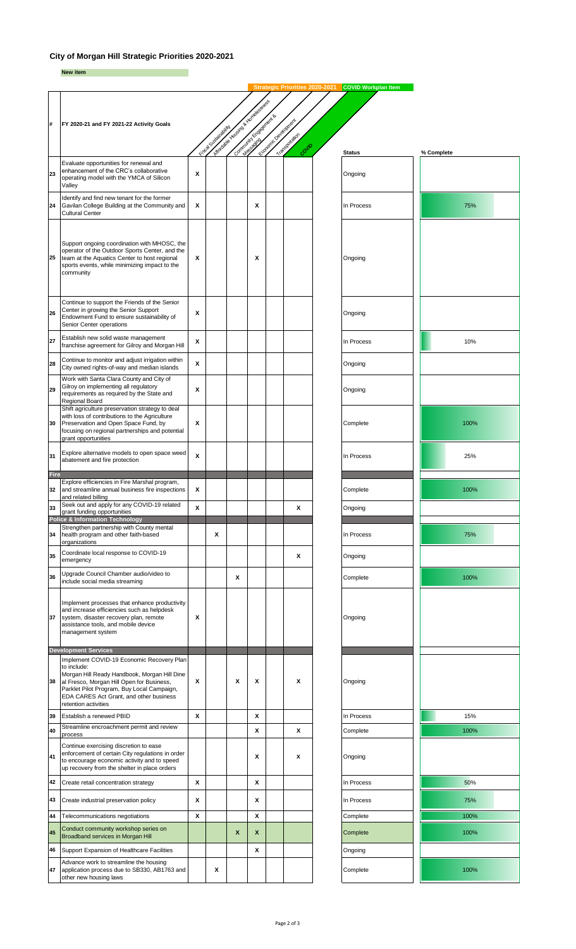## **City of Morgan Hill Strategic Priorities 2020-2021**

**New item**

|                   |                                                                                                                                                                                                                           |   |                      | Marchan House of Britain River Company |   |                          |                        |               |            |
|-------------------|---------------------------------------------------------------------------------------------------------------------------------------------------------------------------------------------------------------------------|---|----------------------|----------------------------------------|---|--------------------------|------------------------|---------------|------------|
| #                 | FY 2020-21 and FY 2021-22 Activity Goals                                                                                                                                                                                  |   |                      |                                        |   |                          |                        |               |            |
|                   |                                                                                                                                                                                                                           |   | Fiscal Substitute of | Contractor of Contractor               |   | Control of British River | Transportation<br>Como | <b>Status</b> |            |
| 23                | Evaluate opportunities for renewal and<br>enhancement of the CRC's collaborative<br>operating model with the YMCA of Silicon<br>Valley                                                                                    | X |                      |                                        |   |                          |                        | Ongoing       | % Complete |
| 24                | Identify and find new tenant for the former<br>Gavilan College Building at the Community and<br><b>Cultural Center</b>                                                                                                    | X |                      |                                        | X |                          |                        | In Process    | 75%        |
| 25                | Support ongoing coordination with MHOSC, the<br>operator of the Outdoor Sports Center, and the<br>team at the Aquatics Center to host regional<br>sports events, while minimizing impact to the<br>community              | х |                      |                                        | X |                          |                        | Ongoing       |            |
| 26                | Continue to support the Friends of the Senior<br>Center in growing the Senior Support<br>Endowment Fund to ensure sustainability of<br>Senior Center operations                                                           | X |                      |                                        |   |                          |                        | Ongoing       |            |
| 27                | Establish new solid waste management<br>franchise agreement for Gilroy and Morgan Hill                                                                                                                                    | х |                      |                                        |   |                          |                        | In Process    | 10%        |
| 28                | Continue to monitor and adjust irrigation within<br>City owned rights-of-way and median islands                                                                                                                           | X |                      |                                        |   |                          |                        | Ongoing       |            |
| 29                | Work with Santa Clara County and City of<br>Gilroy on implementing all regulatory<br>requirements as required by the State and<br>Regional Board                                                                          | X |                      |                                        |   |                          |                        | Ongoing       |            |
| 30                | Shift agriculture preservation strategy to deal<br>with loss of contributions to the Agriculture<br>Preservation and Open Space Fund, by<br>focusing on regional partnerships and potential<br>grant opportunities        | X |                      |                                        |   |                          |                        | Complete      | 100%       |
| 31                | Explore alternative models to open space weed<br>abatement and fire protection                                                                                                                                            | X |                      |                                        |   |                          |                        | In Process    | 25%        |
| <b>Fire</b><br>32 | Explore efficiencies in Fire Marshal program,<br>and streamline annual business fire inspections<br>and related billing                                                                                                   | х |                      |                                        |   |                          |                        | Complete      | 100%       |
| 33                | Seek out and apply for any COVID-19 related<br>grant funding opportunities<br><b>Police &amp; Information Technology</b>                                                                                                  | X |                      |                                        |   |                          | X                      | Ongoing       |            |
| 34                | Strengthen partnership with County mental<br>health program and other faith-based<br>organizations                                                                                                                        |   | х                    |                                        |   |                          |                        | In Process    | 75%        |
| 35                | Coordinate local response to COVID-19<br>emergency                                                                                                                                                                        |   |                      |                                        |   |                          | X                      | Ongoing       |            |
| 36                | Upgrade Council Chamber audio/video to<br>include social media streaming                                                                                                                                                  |   |                      | X                                      |   |                          |                        | Complete      | 100%       |
| 37                | Implement processes that enhance productivity<br>and increase efficiencies such as helpdesk<br>system, disaster recovery plan, remote<br>assistance tools, and mobile device<br>management system                         | X |                      |                                        |   |                          |                        | Ongoing       |            |
|                   | <b>Development Services</b><br>Implement COVID-19 Economic Recovery Plan                                                                                                                                                  |   |                      |                                        |   |                          |                        |               |            |
| 38                | to include:<br>Morgan Hill Ready Handbook, Morgan Hill Dine<br>al Fresco, Morgan Hill Open for Business,<br>Parklet Pilot Program, Buy Local Campaign,<br>EDA CARES Act Grant, and other business<br>retention activities | х |                      | Χ                                      | X |                          | X                      | Ongoing       |            |
| 39                | Establish a renewed PBID                                                                                                                                                                                                  | X |                      |                                        | X |                          |                        | In Process    | 15%        |
| 40                | Streamline encroachment permit and review<br>process                                                                                                                                                                      |   |                      |                                        | X |                          | X                      | Complete      | 100%       |
| 41                | Continue exercising discretion to ease<br>enforcement of certain City regulations in order<br>to encourage economic activity and to speed<br>up recovery from the shelter in place orders                                 |   |                      |                                        | x |                          | x                      | Ongoing       |            |
| 42                | Create retail concentration strategy                                                                                                                                                                                      | X |                      |                                        | X |                          |                        | In Process    | 50%        |
| 43                | Create industrial preservation policy                                                                                                                                                                                     | х |                      |                                        | x |                          |                        | In Process    | 75%        |
| 44                | Telecommunications negotiations                                                                                                                                                                                           | X |                      |                                        | X |                          |                        | Complete      | 100%       |
| 45                | Conduct community workshop series on<br>Broadband services in Morgan Hill                                                                                                                                                 |   |                      | x                                      | X |                          |                        | Complete      | 100%       |
| 46                | Support Expansion of Healthcare Facilities                                                                                                                                                                                |   |                      |                                        | X |                          |                        | Ongoing       |            |
| 47                | Advance work to streamline the housing<br>application process due to SB330, AB1763 and<br>other new housing laws                                                                                                          |   | х                    |                                        |   |                          |                        | Complete      | 100%       |

Strategic Priorities 2020-2021 COVID Workplan Item

٦